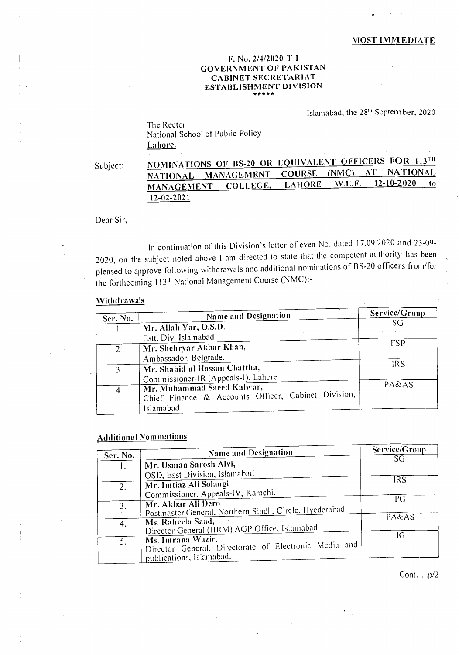## MOST IMMEDIATE

## F. No. 21412020-T-I GOVERNMENT OF PAKISTAN CABINET SECRETARIAT ESTABLISHMENT DIVISION

Islamabad, the 28th September, 2020

The Rector National School of Public Policy Lahore.

# Subject: **NOMINATIONS OF BS-20 OR EQUIVALENT OFFICERS FOR 113<sup>TH</sup><br>NATIONAL MANAGEMENT COURSE (NMC) AT NATIONAL** NATIONAL MANAGEMENT COURSE (NMC) AT NATIONAL MANAGEMENT COLLEGE. LAHORE W.E.F. 12-10-2020 MANAGEMENT COLLEGE, LAIIORE W.E.F. 12-10-2020 to 12-02-2021

Dear Sir,

In continuation of this Division's letter of even No. dated I 7.09.2020 and 23-09- 2020, on the subject noted above I am directed to state that the competent authority has been pleased to approve following withdrawals and additional nominations of BS-20 officers from/for the forthcoming 113<sup>th</sup> National Management Course (NMC):-

#### **Withdrawals**

| Ser. No.       | Name and Designation                                                 | Service/Group |
|----------------|----------------------------------------------------------------------|---------------|
|                |                                                                      | SG            |
|                | Mr. Allah Yar, O.S.D.                                                |               |
|                | Estt. Div. Islamabad                                                 |               |
| 2              | Mr. Shehryar Akbar Khan,                                             | <b>FSP</b>    |
|                | Ambassador, Belgrade.                                                |               |
| $\overline{3}$ | Mr. Shahid ul Hassan Chattha,<br>Commissioner-IR (Appeals-I), Lahore | <b>IRS</b>    |
|                |                                                                      | PA&AS         |
| 4              | Mr. Muhammad Saced Kalwar,                                           |               |
|                | Chief Finance & Accounts Officer, Cabinet Division,                  |               |
|                | Islamabad.                                                           |               |

### Additional Nominations

|             | <b>Name and Designation</b>                            | Service/Group                  |
|-------------|--------------------------------------------------------|--------------------------------|
| Ser. No.    |                                                        | $S\overline{G}$                |
|             | Mr. Usman Sarosh Alvi,                                 |                                |
|             | OSD, Esst Division, Islamabad                          |                                |
| 2.          | Mr. Imtiaz Ali Solangi                                 | IRS                            |
|             | Commissioner, Appeals-IV, Karachi.                     | PG                             |
| 3.          | Mr. Akbar Ali Dero                                     |                                |
|             | Postmaster General, Northern Sindh, Circle, Hyederabad |                                |
| $4_{\cdot}$ | Ms. Raheela Saad,                                      | $\overline{P}A\&\overline{AS}$ |
|             | Director General (HRM) AGP Office, Islamabad           |                                |
|             | Ms. Imrana Wazir.                                      | IG                             |
|             | Director General, Directorate of Electronic Media and  |                                |
|             | publications, Islamabad.                               |                                |

Cont.....p/2